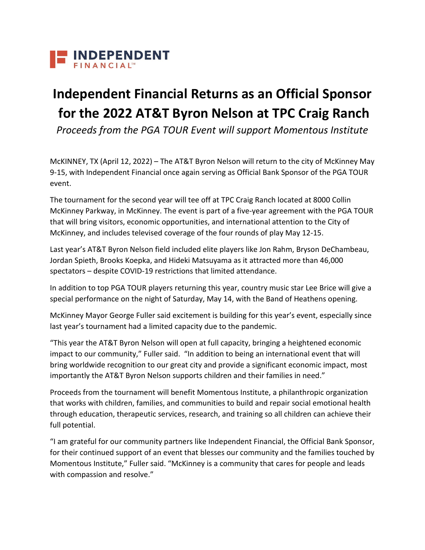

## **Independent Financial Returns as an Official Sponsor for the 2022 AT&T Byron Nelson at TPC Craig Ranch**

*Proceeds from the PGA TOUR Event will support Momentous Institute*

McKINNEY, TX (April 12, 2022) – The AT&T Byron Nelson will return to the city of McKinney May 9-15, with Independent Financial once again serving as Official Bank Sponsor of the PGA TOUR event.

The tournament for the second year will tee off at TPC Craig Ranch located at 8000 Collin McKinney Parkway, in McKinney. The event is part of a five-year agreement with the PGA TOUR that will bring visitors, economic opportunities, and international attention to the City of McKinney, and includes televised coverage of the four rounds of play May 12-15.

Last year's AT&T Byron Nelson field included elite players like Jon Rahm, Bryson DeChambeau, Jordan Spieth, Brooks Koepka, and Hideki Matsuyama as it attracted more than 46,000 spectators – despite COVID-19 restrictions that limited attendance.

In addition to top PGA TOUR players returning this year, country music star Lee Brice will give a special performance on the night of Saturday, May 14, with the Band of Heathens opening.

McKinney Mayor George Fuller said excitement is building for this year's event, especially since last year's tournament had a limited capacity due to the pandemic.

"This year the AT&T Byron Nelson will open at full capacity, bringing a heightened economic impact to our community," Fuller said. "In addition to being an international event that will bring worldwide recognition to our great city and provide a significant economic impact, most importantly the AT&T Byron Nelson supports children and their families in need."

Proceeds from the tournament will benefit Momentous Institute, a philanthropic organization that works with children, families, and communities to build and repair social emotional health through education, therapeutic services, research, and training so all children can achieve their full potential.

"I am grateful for our community partners like Independent Financial, the Official Bank Sponsor, for their continued support of an event that blesses our community and the families touched by Momentous Institute," Fuller said. "McKinney is a community that cares for people and leads with compassion and resolve."